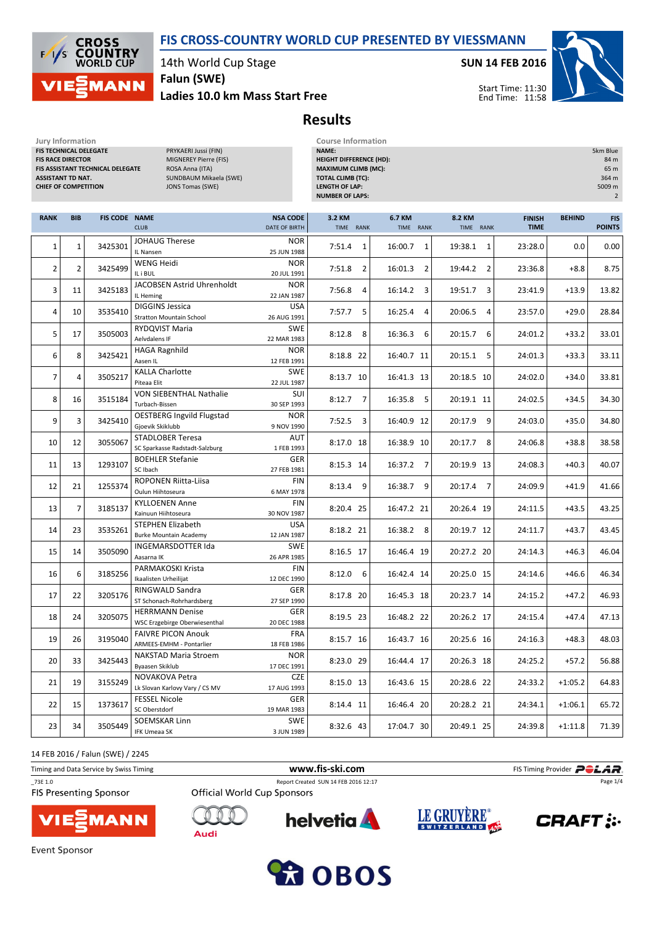## FIS CROSS-COUNTRY WORLD CUP PRESENTED BY VIESSMANN

Results



14th World Cup Stage

Ladies 10.0 km Mass Start Free Falun (SWE)

SUN 14 FEB 2016



Start Time: 11:30 End Time: 11:58

Jury Information Course Information<br>
FIS TECHNICAL DELEGATE 
FISITE PRYKAERI Jussi (FIN) 
PRYKAERI JUSSI (FIN) FIS TECHNICAL DELEGATE FIS RACE DIRECTOR MIGNEREY Pierre (FIS) FIS ASSISTANT TECHNICAL DELEGATE ROSA Anna (ITA) ASSISTANT TD NAT. SUNDBAUM Mikaela (SWE) CHIEF OF COMPETITION JONS Tomas (SWE)

| _____________________          |                |
|--------------------------------|----------------|
| <b>NAME:</b>                   | 5km Blue       |
| <b>HEIGHT DIFFERENCE (HD):</b> | 84 m           |
| <b>MAXIMUM CLIMB (MC):</b>     | 65 m           |
| TOTAL CLIMB (TC):              | 364 m          |
| LENGTH OF LAP:                 | 5009 m         |
| <b>NUMBER OF LAPS:</b>         | $\overline{2}$ |
|                                |                |

| <b>RANK</b>    | <b>BIB</b>     | <b>FIS CODE NAME</b> | <b>CLUB</b>                                             | <b>NSA CODE</b><br>DATE OF BIRTH | 3.2 KM<br>TIME RANK | 6.7 KM<br>TIME RANK | 8.2 KM<br>TIME RANK       | <b>FINISH</b><br><b>TIME</b> | <b>BEHIND</b> | <b>FIS</b><br><b>POINTS</b> |
|----------------|----------------|----------------------|---------------------------------------------------------|----------------------------------|---------------------|---------------------|---------------------------|------------------------------|---------------|-----------------------------|
|                |                |                      | <b>JOHAUG Therese</b>                                   | <b>NOR</b>                       |                     |                     |                           |                              |               |                             |
| $\mathbf{1}$   | $\mathbf{1}$   | 3425301              | IL Nansen                                               | 25 JUN 1988                      | 7:51.4<br>1         | 16:00.7<br>1        | 19:38.1<br>$\mathbf{1}$   | 23:28.0                      | 0.0           | 0.00                        |
| $\overline{2}$ | $\overline{2}$ | 3425499              | WENG Heidi                                              | <b>NOR</b>                       | $\overline{2}$      | $\overline{2}$      | 19:44.2<br>$\overline{2}$ |                              | $+8.8$        |                             |
|                |                |                      | IL i BUL                                                | 20 JUL 1991                      | 7:51.8              | 16:01.3             |                           | 23:36.8                      |               | 8.75                        |
| 3              | 11             | 3425183              | JACOBSEN Astrid Uhrenholdt                              | <b>NOR</b>                       | 7:56.8<br>4         | 3<br>16:14.2        | 19:51.7<br>3              | 23:41.9                      | $+13.9$       | 13.82                       |
|                |                |                      | IL Heming                                               | 22 JAN 1987                      |                     |                     |                           |                              |               |                             |
| 4              | 10             | 3535410              | <b>DIGGINS Jessica</b>                                  | <b>USA</b>                       | 7:57.7<br>5         | 16:25.4<br>4        | 20:06.5<br>4              | 23:57.0                      | $+29.0$       | 28.84                       |
|                |                |                      | <b>Stratton Mountain School</b>                         | 26 AUG 1991                      |                     |                     |                           |                              |               |                             |
| 5              | 17             | 3505003              | RYDQVIST Maria                                          | <b>SWE</b>                       | 8:12.8<br>8         | 16:36.3<br>6        | 20:15.7<br>6              | 24:01.2                      | $+33.2$       | 33.01                       |
|                |                |                      | Aelvdalens IF                                           | 22 MAR 1983                      |                     |                     |                           |                              |               |                             |
| 6              | 8              | 3425421              | <b>HAGA Ragnhild</b>                                    | <b>NOR</b>                       | 8:18.8 22           | 16:40.7 11          | 20:15.1<br>5              | 24:01.3                      | $+33.3$       | 33.11                       |
|                |                |                      | Aasen IL                                                | 12 FEB 1991                      |                     |                     |                           |                              |               |                             |
| $\overline{7}$ | 4              | 3505217              | <b>KALLA Charlotte</b>                                  | <b>SWE</b>                       | 8:13.7 10           | 16:41.3 13          | 20:18.5 10                | 24:02.0                      | $+34.0$       | 33.81                       |
|                |                |                      | Piteaa Elit                                             | 22 JUL 1987<br>SUI               |                     |                     |                           |                              |               |                             |
| 8              | 16             | 3515184              | <b>VON SIEBENTHAL Nathalie</b><br>Turbach-Bissen        | 30 SEP 1993                      | $8:12.7$ 7          | 16:35.8<br>- 5      | 20:19.1 11                | 24:02.5                      | $+34.5$       | 34.30                       |
|                |                |                      | <b>OESTBERG Ingvild Flugstad</b>                        | <b>NOR</b>                       |                     |                     |                           |                              |               |                             |
| 9              | 3              | 3425410              | Gjoevik Skiklubb                                        | 9 NOV 1990                       | $7:52.5$ 3          | 16:40.9 12          | 20:17.9<br>9              | 24:03.0                      | $+35.0$       | 34.80                       |
|                |                |                      | <b>STADLOBER Teresa</b>                                 | AUT                              |                     |                     |                           |                              |               |                             |
| 10             | 12             | 3055067              | SC Sparkasse Radstadt-Salzburg                          | 1 FEB 1993                       | 8:17.0 18           | 16:38.9 10          | 20:17.7 8                 | 24:06.8                      | $+38.8$       | 38.58                       |
|                |                |                      | <b>BOEHLER Stefanie</b>                                 | <b>GER</b>                       |                     |                     |                           |                              |               |                             |
| 11             | 13             | 1293107              | SC Ibach                                                | 27 FEB 1981                      | 8:15.3 14           | 16:37.2 7           | 20:19.9 13                | 24:08.3                      | $+40.3$       | 40.07                       |
|                |                |                      | ROPONEN Riitta-Liisa                                    | <b>FIN</b>                       |                     |                     |                           |                              |               |                             |
| 12             | 21             | 1255374              | Oulun Hiihtoseura                                       | 6 MAY 1978                       | $8:13.4$ 9          | 16:38.7 9           | 20:17.4 7                 | 24:09.9                      | $+41.9$       | 41.66                       |
| 13             | $\overline{7}$ | 3185137              | <b>KYLLOENEN Anne</b>                                   | <b>FIN</b>                       | 8:20.4 25           | 16:47.2 21          | 20:26.4 19                | 24:11.5                      | $+43.5$       | 43.25                       |
|                |                |                      | Kainuun Hiihtoseura                                     | 30 NOV 1987                      |                     |                     |                           |                              |               |                             |
| 14             | 23             | 3535261              | <b>STEPHEN Elizabeth</b>                                | <b>USA</b>                       | 8:18.2 21           | 16:38.2 8           | 20:19.7 12                | 24:11.7                      | $+43.7$       | 43.45                       |
|                |                |                      | <b>Burke Mountain Academy</b>                           | 12 JAN 1987                      |                     |                     |                           |                              |               |                             |
| 15             | 14             | 3505090              | <b>INGEMARSDOTTER Ida</b>                               | <b>SWE</b>                       | 8:16.5 17           | 16:46.4 19          | 20:27.2 20                | 24:14.3                      | $+46.3$       | 46.04                       |
|                |                |                      | Aasarna IK                                              | 26 APR 1985                      |                     |                     |                           |                              |               |                             |
| 16             | 6              | 3185256              | PARMAKOSKI Krista                                       | <b>FIN</b>                       | 8:12.0<br>6         | 16:42.4 14          | 20:25.0 15                | 24:14.6                      | $+46.6$       | 46.34                       |
|                |                |                      | Ikaalisten Urheilijat                                   | 12 DEC 1990                      |                     |                     |                           |                              |               |                             |
| 17             | 22             | 3205176              | RINGWALD Sandra                                         | <b>GER</b>                       | 8:17.8 20           | 16:45.3 18          | 20:23.7 14                | 24:15.2                      | $+47.2$       | 46.93                       |
|                |                |                      | ST Schonach-Rohrhardsberg                               | 27 SEP 1990                      |                     |                     |                           |                              |               |                             |
| 18             | 24             | 3205075              | <b>HERRMANN Denise</b><br>WSC Erzgebirge Oberwiesenthal | <b>GER</b><br>20 DEC 1988        | 8:19.5 23           | 16:48.2 22          | 20:26.2 17                | 24:15.4                      | $+47.4$       | 47.13                       |
|                |                |                      | <b>FAIVRE PICON Anouk</b>                               | <b>FRA</b>                       |                     |                     |                           |                              |               |                             |
| 19             | 26             | 3195040              | ARMEES-EMHM - Pontarlier                                | 18 FEB 1986                      | 8:15.7 16           | 16:43.7 16          | 20:25.6 16                | 24:16.3                      | $+48.3$       | 48.03                       |
|                |                |                      | <b>NAKSTAD Maria Stroem</b>                             | <b>NOR</b>                       |                     |                     |                           |                              |               |                             |
| 20             | 33             | 3425443              | Byaasen Skiklub                                         | 17 DEC 1991                      | 8:23.0 29           | 16:44.4 17          | 20:26.3 18                | 24:25.2                      | $+57.2$       | 56.88                       |
|                |                |                      | NOVAKOVA Petra                                          | <b>CZE</b>                       |                     |                     |                           |                              |               |                             |
| 21             | 19             | 3155249              | Lk Slovan Karlovy Vary / CS MV                          | 17 AUG 1993                      | 8:15.0 13           | 16:43.6 15          | 20:28.6 22                | 24:33.2                      | $+1:05.2$     | 64.83                       |
|                |                |                      | <b>FESSEL Nicole</b>                                    | <b>GER</b>                       |                     |                     |                           |                              |               |                             |
| 22             | 15             | 1373617              | SC Oberstdorf                                           | 19 MAR 1983                      | 8:14.4 11           | 16:46.4 20          | 20:28.2 21                | 24:34.1                      | $+1:06.1$     | 65.72                       |
|                |                |                      | <b>SOEMSKAR Linn</b>                                    | <b>SWE</b>                       |                     |                     |                           |                              |               |                             |
| 23             | 34             | 3505449              | IFK Umeaa SK                                            | 3 JUN 1989                       | 8:32.6 43           | 17:04.7 30          | 20:49.1 25                | 24:39.8                      | $+1:11.8$     | 71.39                       |

14 FEB 2016 / Falun (SWE) / 2245

Timing and Data Service by Swiss Timing **Filter and Data Service by Swiss Timing Provider** \_73E 1.0 Report Created SUN 14 FEB 2016 12:17 Page 1/4**FIS Presenting Sponsor Official World Cup Sponsors** LE GRUYÈRE® helvetia **A CRAFT: : MANN Audi** 







**Event Sponsor** 

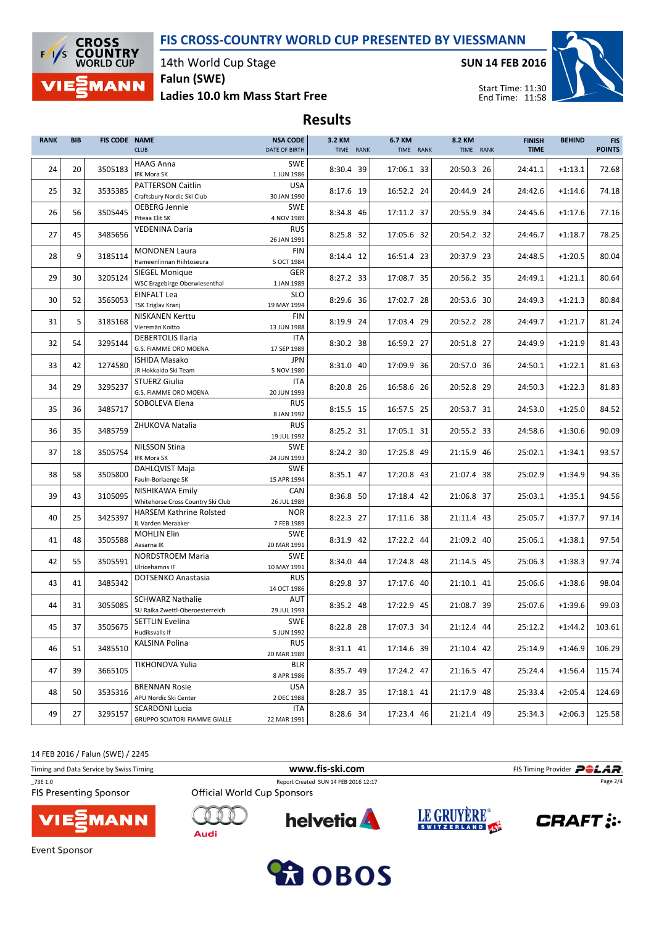## FIS CROSS-COUNTRY WORLD CUP PRESENTED BY VIESSMANN



14th World Cup Stage

Ladies 10.0 km Mass Start Free Falun (SWE)

SUN 14 FEB 2016



Start Time: 11:30 End Time: 11:58

# Results

| <b>RANK</b> | <b>BIB</b> | <b>FIS CODE NAME</b> | <b>CLUB</b>                                                | <b>NSA CODE</b><br>DATE OF BIRTH        | 3.2 KM<br>TIME RANK | 6.7 KM<br>TIME RANK | 8.2 KM<br>TIME RANK | <b>FINISH</b><br><b>TIME</b> | <b>BEHIND</b> | <b>FIS</b><br><b>POINTS</b> |
|-------------|------------|----------------------|------------------------------------------------------------|-----------------------------------------|---------------------|---------------------|---------------------|------------------------------|---------------|-----------------------------|
| 24          | 20         | 3505183              | <b>HAAG Anna</b><br>IFK Mora SK                            | <b>SWE</b><br>1 JUN 1986                | 8:30.4 39           | 17:06.1 33          | 20:50.3 26          | 24:41.1                      | $+1:13.1$     | 72.68                       |
| 25          | 32         | 3535385              | <b>PATTERSON Caitlin</b><br>Craftsbury Nordic Ski Club     | <b>USA</b><br>30 JAN 1990               | 8:17.6 19           | 16:52.2 24          | 20:44.9 24          | 24:42.6                      | $+1:14.6$     | 74.18                       |
| 26          | 56         | 3505445              | OEBERG Jennie<br>Piteaa Elit SK                            | <b>SWE</b><br>4 NOV 1989                | 8:34.8 46           | 17:11.2 37          | 20:55.9 34          | 24:45.6                      | $+1:17.6$     | 77.16                       |
| 27          | 45         | 3485656              | <b>VEDENINA Daria</b>                                      | <b>RUS</b><br>26 JAN 1991               | 8:25.8 32           | 17:05.6 32          | 20:54.2 32          | 24:46.7                      | $+1:18.7$     | 78.25                       |
| 28          | 9          | 3185114              | <b>MONONEN Laura</b>                                       | <b>FIN</b>                              | 8:14.4 12           | 16:51.4 23          | 20:37.9 23          | 24:48.5                      | $+1:20.5$     | 80.04                       |
| 29          | 30         | 3205124              | Hameenlinnan Hiihtoseura<br><b>SIEGEL Monique</b>          | 5 OCT 1984<br><b>GER</b>                | 8:27.2 33           | 17:08.7 35          | 20:56.2 35          | 24:49.1                      | $+1:21.1$     | 80.64                       |
| 30          | 52         | 3565053              | WSC Erzgebirge Oberwiesenthal<br><b>EINFALT Lea</b>        | 1 JAN 1989<br><b>SLO</b>                | 8:29.6 36           | 17:02.7 28          | 20:53.6 30          | 24:49.3                      | $+1:21.3$     | 80.84                       |
| 31          | 5          | 3185168              | <b>TSK Triglav Kranj</b><br><b>NISKANEN Kerttu</b>         | 19 MAY 1994<br><b>FIN</b>               | 8:19.9 24           | 17:03.4 29          | 20:52.2 28          | 24:49.7                      | $+1:21.7$     | 81.24                       |
| 32          | 54         | 3295144              | Vieremän Koitto<br><b>DEBERTOLIS Ilaria</b>                | 13 JUN 1988<br>ITA                      | 8:30.2 38           | 16:59.2 27          | 20:51.8 27          | 24:49.9                      | $+1:21.9$     | 81.43                       |
| 33          | 42         | 1274580              | G.S. FIAMME ORO MOENA<br><b>ISHIDA Masako</b>              | 17 SEP 1989<br>JPN                      | 8:31.0 40           | 17:09.9 36          | 20:57.0 36          | 24:50.1                      | $+1:22.1$     | 81.63                       |
|             |            |                      | JR Hokkaido Ski Team<br>STUERZ Giulia                      | 5 NOV 1980<br>ITA                       |                     |                     |                     |                              |               |                             |
| 34          | 29         | 3295237              | G.S. FIAMME ORO MOENA                                      | 20 JUN 1993                             | 8:20.8 26           | 16:58.6 26          | 20:52.8 29          | 24:50.3                      | $+1:22.3$     | 81.83                       |
| 35          | 36         | 3485717              | SOBOLEVA Elena                                             | <b>RUS</b><br>8 JAN 1992                | 8:15.5 15           | 16:57.5 25          | 20:53.7 31          | 24:53.0                      | $+1:25.0$     | 84.52                       |
| 36          | 35         | 3485759              | ZHUKOVA Natalia                                            | <b>RUS</b><br>19 JUL 1992               | 8:25.2 31           | 17:05.1 31          | 20:55.2 33          | 24:58.6                      | $+1:30.6$     | 90.09                       |
| 37          | 18         | 3505754              | <b>NILSSON Stina</b><br>IFK Mora SK                        | <b>SWE</b><br>24 JUN 1993               | 8:24.2 30           | 17:25.8 49          | 21:15.9 46          | 25:02.1                      | $+1:34.1$     | 93.57                       |
| 38          | 58         | 3505800              | DAHLQVIST Maja<br>Fauln-Borlaenge SK                       | <b>SWE</b><br>15 APR 1994               | 8:35.1 47           | 17:20.8 43          | 21:07.4 38          | 25:02.9                      | $+1:34.9$     | 94.36                       |
| 39          | 43         | 3105095              | NISHIKAWA Emily<br>Whitehorse Cross Country Ski Club       | CAN<br>26 JUL 1989                      | 8:36.8 50           | 17:18.4 42          | 21:06.8 37          | 25:03.1                      | $+1:35.1$     | 94.56                       |
| 40          | 25         | 3425397              | <b>HARSEM Kathrine Rolsted</b><br>IL Varden Meraaker       | <b>NOR</b><br>7 FEB 1989                | 8:22.3 27           | 17:11.6 38          | 21:11.4 43          | 25:05.7                      | $+1:37.7$     | 97.14                       |
| 41          | 48         | 3505588              | <b>MOHLIN Elin</b><br>Aasarna IK                           | <b>SWE</b><br>20 MAR 1991               | 8:31.9 42           | 17:22.2 44          | 21:09.2 40          | 25:06.1                      | $+1:38.1$     | 97.54                       |
| 42          | 55         | 3505591              | <b>NORDSTROEM Maria</b><br>Ulricehamns IF                  | <b>SWE</b><br>10 MAY 1991               | 8:34.0 44           | 17:24.8 48          | 21:14.5 45          | 25:06.3                      | $+1:38.3$     | 97.74                       |
| 43          | 41         | 3485342              | DOTSENKO Anastasia                                         | <b>RUS</b><br>14 OCT 1986               | 8:29.8 37           | 17:17.6 40          | 21:10.1 41          | 25:06.6                      | $+1:38.6$     | 98.04                       |
| 44          | 31         | 3055085              | <b>SCHWARZ Nathalie</b><br>SU Raika Zwettl-Oberoesterreich | AUT<br>29 JUL 1993                      | 8:35.2 48           | 17:22.9 45          | 21:08.7 39          | 25:07.6                      | $+1:39.6$     | 99.03                       |
| 45          | 37         | 3505675              | SETTLIN Evelina                                            | SWE                                     | 8:22.8 28           | 17:07.3 34          | 21:12.4 44          | 25:12.2                      | $+1:44.2$     | 103.61                      |
| 46          | 51         | 3485510              | Hudiksvalls If<br><b>KALSINA Polina</b>                    | 5 JUN 1992<br><b>RUS</b><br>20 MAR 1989 | 8:31.1 41           | 17:14.6 39          | 21:10.4 42          | 25:14.9                      | $+1:46.9$     | 106.29                      |
| 47          | 39         | 3665105              | TIKHONOVA Yulia                                            | <b>BLR</b>                              | 8:35.7 49           | 17:24.2 47          | 21:16.5 47          | 25:24.4                      | $+1:56.4$     | 115.74                      |
| 48          | 50         | 3535316              | <b>BRENNAN Rosie</b>                                       | 8 APR 1986<br>USA                       | 8:28.7 35           | 17:18.1 41          | 21:17.9 48          | 25:33.4                      | $+2:05.4$     | 124.69                      |
|             |            |                      | APU Nordic Ski Center<br><b>SCARDONI Lucia</b>             | 2 DEC 1988<br>ITA                       |                     |                     |                     |                              |               |                             |
| 49          | 27         | 3295157              | GRUPPO SCIATORI FIAMME GIALLE                              | 22 MAR 1991                             | 8:28.6 34           | 17:23.4 46          | 21:21.4 49          | 25:34.3                      | $+2:06.3$     | 125.58                      |

14 FEB 2016 / Falun (SWE) / 2245

| Timing and Data Service by Swiss Timing |                                    | www.fis-ski.com                      |             | FIS Timing Provider <b>PCLAR</b> |
|-----------------------------------------|------------------------------------|--------------------------------------|-------------|----------------------------------|
| 73E 1.0                                 |                                    | Report Created SUN 14 FEB 2016 12:17 |             | Page 2/4                         |
| <b>FIS Presenting Sponsor</b>           | <b>Official World Cup Sponsors</b> |                                      |             |                                  |
| <b>VIESMANN</b>                         | Audi                               | <b>helvetia</b>                      | LE GRUYERE® | <b>CRAFT:</b>                    |



**Event Sponsor**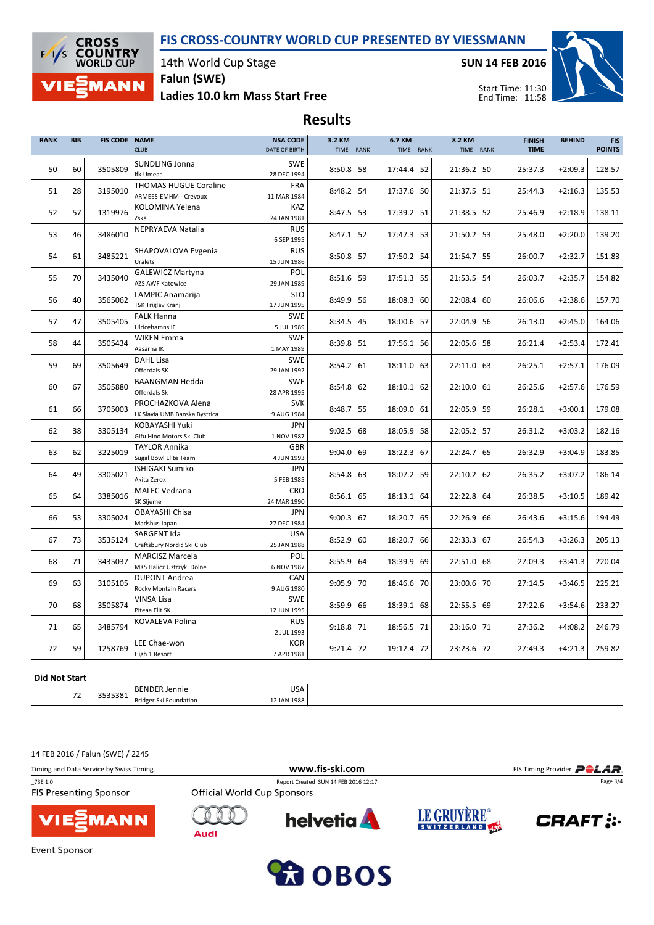### FIS CROSS-COUNTRY WORLD CUP PRESENTED BY VIESSMANN



14th World Cup Stage

Ladies 10.0 km Mass Start Free Falun (SWE)

SUN 14 FEB 2016



Start Time: 11:30 End Time: 11:58

# Results

| <b>RANK</b> | <b>BIB</b> | <b>FIS CODE NAME</b> | <b>CLUB</b>                                           | <b>NSA CODE</b><br>DATE OF BIRTH | 3.2 KM<br>TIME RANK | 6.7 KM<br>TIME RANK | 8.2 KM<br>TIME RANK | <b>FINISH</b><br><b>TIME</b> | <b>BEHIND</b> | <b>FIS</b><br><b>POINTS</b> |
|-------------|------------|----------------------|-------------------------------------------------------|----------------------------------|---------------------|---------------------|---------------------|------------------------------|---------------|-----------------------------|
| 50          | 60         | 3505809              | SUNDLING Jonna<br>Ifk Umeaa                           | <b>SWE</b><br>28 DEC 1994        | 8:50.8 58           | 17:44.4 52          | 21:36.2 50          | 25:37.3                      | $+2:09.3$     | 128.57                      |
| 51          | 28         | 3195010              | <b>THOMAS HUGUE Coraline</b><br>ARMEES-EMHM - Crevoux | <b>FRA</b><br>11 MAR 1984        | 8:48.2 54           | 17:37.6 50          | 21:37.5 51          | 25:44.3                      | $+2:16.3$     | 135.53                      |
| 52          | 57         | 1319976              | KOLOMINA Yelena<br>Zska                               | KAZ<br>24 JAN 1981               | 8:47.5 53           | 17:39.2 51          | 21:38.5 52          | 25:46.9                      | $+2:18.9$     | 138.11                      |
| 53          | 46         | 3486010              | NEPRYAEVA Natalia                                     | <b>RUS</b><br>6 SEP 1995         | 8:47.1 52           | 17:47.3 53          | 21:50.2 53          | 25:48.0                      | $+2:20.0$     | 139.20                      |
| 54          | 61         | 3485221              | SHAPOVALOVA Evgenia<br>Uralets                        | <b>RUS</b><br>15 JUN 1986        | 8:50.8 57           | 17:50.2 54          | 21:54.7 55          | 26:00.7                      | $+2:32.7$     | 151.83                      |
| 55          | 70         | 3435040              | <b>GALEWICZ Martyna</b><br><b>AZS AWF Katowice</b>    | POL<br>29 JAN 1989               | 8:51.6 59           | 17:51.3 55          | 21:53.5 54          | 26:03.7                      | $+2:35.7$     | 154.82                      |
| 56          | 40         | 3565062              | LAMPIC Anamarija<br><b>TSK Triglav Kranj</b>          | <b>SLO</b><br>17 JUN 1995        | 8:49.9 56           | 18:08.3 60          | 22:08.4 60          | 26:06.6                      | $+2:38.6$     | 157.70                      |
| 57          | 47         | 3505405              | <b>FALK Hanna</b><br>Ulricehamns IF                   | <b>SWE</b><br>5 JUL 1989         | 8:34.5 45           | 18:00.6 57          | 22:04.9 56          | 26:13.0                      | $+2:45.0$     | 164.06                      |
| 58          | 44         | 3505434              | <b>WIKEN Emma</b><br>Aasarna IK                       | <b>SWE</b><br>1 MAY 1989         | 8:39.8 51           | 17:56.1 56          | 22:05.6 58          | 26:21.4                      | $+2:53.4$     | 172.41                      |
| 59          | 69         | 3505649              | <b>DAHL Lisa</b><br>Offerdals SK                      | <b>SWE</b><br>29 JAN 1992        | 8:54.2 61           | 18:11.0 63          | 22:11.0 63          | 26:25.1                      | $+2:57.1$     | 176.09                      |
| 60          | 67         | 3505880              | <b>BAANGMAN Hedda</b><br>Offerdals Sk                 | <b>SWE</b><br>28 APR 1995        | 8:54.8 62           | 18:10.1 62          | 22:10.0 61          | 26:25.6                      | $+2:57.6$     | 176.59                      |
| 61          | 66         | 3705003              | PROCHAZKOVA Alena<br>LK Slavia UMB Banska Bystrica    | <b>SVK</b><br>9 AUG 1984         | 8:48.7 55           | 18:09.0 61          | 22:05.9 59          | 26:28.1                      | $+3:00.1$     | 179.08                      |
| 62          | 38         | 3305134              | KOBAYASHI Yuki<br>Gifu Hino Motors Ski Club           | <b>JPN</b><br>1 NOV 1987         | 9:02.5 68           | 18:05.9 58          | 22:05.2 57          | 26:31.2                      | $+3:03.2$     | 182.16                      |
| 63          | 62         | 3225019              | <b>TAYLOR Annika</b><br>Sugal Bowl Elite Team         | <b>GBR</b><br>4 JUN 1993         | 9:04.0 69           | 18:22.3 67          | 22:24.7 65          | 26:32.9                      | $+3:04.9$     | 183.85                      |
| 64          | 49         | 3305021              | <b>ISHIGAKI Sumiko</b><br>Akita Zerox                 | <b>JPN</b><br>5 FEB 1985         | 8:54.8 63           | 18:07.2 59          | 22:10.2 62          | 26:35.2                      | $+3:07.2$     | 186.14                      |
| 65          | 64         | 3385016              | <b>MALEC Vedrana</b><br>SK Sljeme                     | CRO<br>24 MAR 1990               | 8:56.1 65           | 18:13.1 64          | 22:22.8 64          | 26:38.5                      | $+3:10.5$     | 189.42                      |
| 66          | 53         | 3305024              | <b>OBAYASHI Chisa</b><br>Madshus Japan                | <b>JPN</b><br>27 DEC 1984        | 9:00.3 67           | 18:20.7 65          | 22:26.9 66          | 26:43.6                      | $+3:15.6$     | 194.49                      |
| 67          | 73         | 3535124              | SARGENT Ida<br>Craftsbury Nordic Ski Club             | <b>USA</b><br>25 JAN 1988        | 8:52.9 60           | 18:20.7 66          | 22:33.3 67          | 26:54.3                      | $+3:26.3$     | 205.13                      |
| 68          | 71         | 3435037              | <b>MARCISZ Marcela</b><br>MKS Halicz Ustrzyki Dolne   | POL<br>6 NOV 1987                | 8:55.9 64           | 18:39.9 69          | 22:51.0 68          | 27:09.3                      | $+3:41.3$     | 220.04                      |
| 69          | 63         | 3105105              | <b>DUPONT Andrea</b><br><b>Rocky Montain Racers</b>   | CAN<br>9 AUG 1980                | 9:05.9 70           | 18:46.6 70          | 23:00.6 70          | 27:14.5                      | $+3:46.5$     | 225.21                      |
| 70          | 68         | 3505874              | <b>VINSA Lisa</b><br>Piteaa Elit SK                   | <b>SWE</b><br>12 JUN 1995        | 8:59.9 66           | 18:39.1 68          | 22:55.5 69          | 27:22.6                      | $+3:54.6$     | 233.27                      |
| 71          | 65         | 3485794              | KOVALEVA Polina                                       | <b>RUS</b><br>2 JUL 1993         | 9:18.8 71           | 18:56.5 71          | 23:16.0 71          | 27:36.2                      | $+4:08.2$     | 246.79                      |
| 72          | 59         | 1258769              | LEE Chae-won<br>High 1 Resort                         | <b>KOR</b><br>7 APR 1981         | 9:21.4 72           | 19:12.4 72          | 23:23.6 72          | 27:49.3                      | $+4:21.3$     | 259.82                      |

#### Did Not Start

72 BENDER Jennie 3535381 Bridger Ski Foundation

USA 12 JAN 1988

14 FEB 2016 / Falun (SWE) / 2245

| Timing and Data Service by Swiss Timing | www.fis-ski.com                      | FIS Timing Provider <b>POLAR</b> |
|-----------------------------------------|--------------------------------------|----------------------------------|
| 73E 1.0                                 | Report Created SUN 14 FEB 2016 12:17 | Page 3/4                         |
| <b>FIS Presenting Sponsor</b>           | <b>Official World Cup Sponsors</b>   |                                  |
| <b>VIESMANN</b>                         | <b>helvetia</b><br>Audi              | LE GRUYÈRE®<br><b>CRAFT:</b>     |